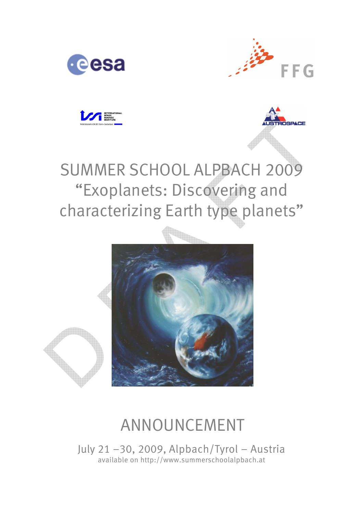







# SUMMER SCHOOL ALPBACH 2009 "Exoplanets: Discovering and characterizing Earth type planets"



## ANNOUNCEMENT

July 21 –30, 2009, Alpbach/Tyrol – Austria available on http://www.summerschoolalpbach.at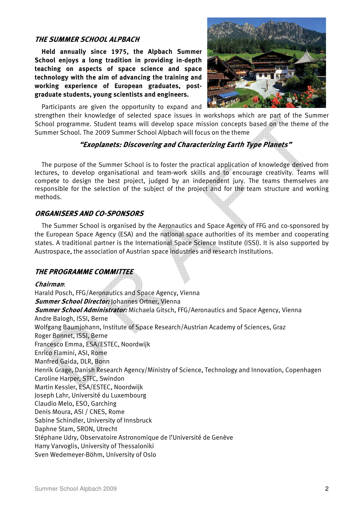### THE SUMMER SCHOOL ALPBACH

Held annually since 1975, the Alpbach Summer School enjoys a long tradition in providing in-depth teaching on aspects of space science and space technology with the aim of advancing the training and working experience of European graduates, postgraduate students, young scientists and engineers.



Participants are given the opportunity to expand and

strengthen their knowledge of selected space issues in workshops which are part of the Summer School programme. Student teams will develop space mission concepts based on the theme of the Summer School. The 2009 Summer School Alpbach will focus on the theme

## "Exoplanets: Discovering and Characterizing Earth Type Planets"

The purpose of the Summer School is to foster the practical application of knowledge derived from lectures, to develop organisational and team-work skills and to encourage creativity. Teams will compete to design the best project, judged by an independent jury. The teams themselves are responsible for the selection of the subject of the project and for the team structure and working methods.

### ORGANISERS AND CO-SPONSORS

The Summer School is organised by the Aeronautics and Space Agency of FFG and co-sponsored by the European Space Agency (ESA) and the national space authorities of its member and cooperating states. A traditional partner is the International Space Science Institute (ISSI). It is also supported by Austrospace, the association of Austrian space industries and research institutions.

#### THE PROGRAMME COMMITTEE

Chairman: Harald Posch, FFG/Aeronautics and Space Agency, Vienna **Summer School Director:** Johannes Ortner, Vienna **Summer School Administrator:** Michaela Gitsch, FFG/Aeronautics and Space Agency, Vienna Andre Balogh, ISSI, Berne Wolfgang Baumjohann, Institute of Space Research/Austrian Academy of Sciences, Graz Roger Bonnet, ISSI, Berne Francesco Emma, ESA/ESTEC, Noordwijk Enrico Flamini, ASI, Rome Manfred Gaida, DLR, Bonn Henrik Grage, Danish Research Agency/Ministry of Science, Technology and Innovation, Copenhagen Caroline Harper, STFC, Swindon Martin Kessler, ESA/ESTEC, Noordwijk Joseph Lahr, Université du Luxembourg Claudio Melo, ESO, Garching Denis Moura, ASI / CNES, Rome Sabine Schindler, University of Innsbruck Daphne Stam, SRON, Utrecht Stéphane Udry, Observatoire Astronomique de l'Université de Genève Harry Varvoglis, University of Thessaloniki Sven Wedemeyer-Böhm, University of Oslo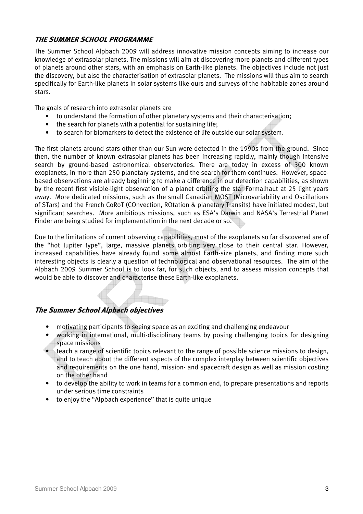## THE SUMMER SCHOOL PROGRAMME

The Summer School Alpbach 2009 will address innovative mission concepts aiming to increase our knowledge of extrasolar planets. The missions will aim at discovering more planets and different types of planets around other stars, with an emphasis on Earth-like planets. The objectives include not just the discovery, but also the characterisation of extrasolar planets. The missions will thus aim to search specifically for Earth-like planets in solar systems like ours and surveys of the habitable zones around stars.

The goals of research into extrasolar planets are

- to understand the formation of other planetary systems and their characterisation;
- the search for planets with a potential for sustaining life:
- to search for biomarkers to detect the existence of life outside our solar system.

The first planets around stars other than our Sun were detected in the 1990s from the ground. Since then, the number of known extrasolar planets has been increasing rapidly, mainly though intensive search by ground-based astronomical observatories. There are today in excess of 300 known exoplanets, in more than 250 planetary systems, and the search for them continues. However, spacebased observations are already beginning to make a difference in our detection capabilities, as shown by the recent first visible-light observation of a planet orbiting the star Formalhaut at 25 light years away. More dedicated missions, such as the small Canadian MOST (Microvariability and Oscillations of STars) and the French CoRoT (COnvection, ROtation & planetary Transits) have initiated modest, but significant searches. More ambitious missions, such as ESA's Darwin and NASA's Terrestrial Planet Finder are being studied for implementation in the next decade or so.

Due to the limitations of current observing capabilities, most of the exoplanets so far discovered are of the "hot Jupiter type", large, massive planets orbiting very close to their central star. However, increased capabilities have already found some almost Earth-size planets, and finding more such interesting objects is clearly a question of technological and observational resources. The aim of the Alpbach 2009 Summer School is to look far, for such objects, and to assess mission concepts that would be able to discover and characterise these Earth-like exoplanets.

## The Summer School Alpbach objectives

- motivating participants to seeing space as an exciting and challenging endeavour
- working in international, multi-disciplinary teams by posing challenging topics for designing space missions
- teach a range of scientific topics relevant to the range of possible science missions to design, and to teach about the different aspects of the complex interplay between scientific objectives and requirements on the one hand, mission- and spacecraft design as well as mission costing on the other hand
- to develop the ability to work in teams for a common end, to prepare presentations and reports under serious time constraints
- to enjoy the "Alpbach experience" that is quite unique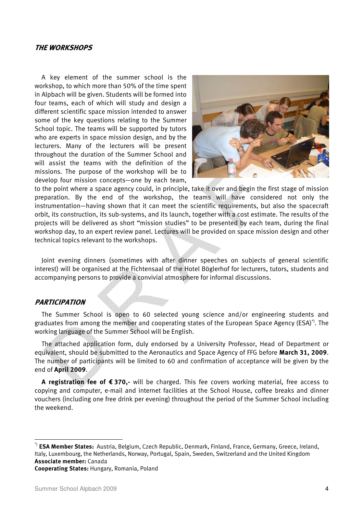#### THE WORKSHOPS

A key element of the summer school is the workshop, to which more than 50% of the time spent in Alpbach will be given. Students will be formed into four teams, each of which will study and design a different scientific space mission intended to answer some of the key questions relating to the Summer School topic. The teams will be supported by tutors who are experts in space mission design, and by the lecturers. Many of the lecturers will be present throughout the duration of the Summer School and will assist the teams with the definition of the missions. The purpose of the workshop will be to develop four mission concepts—one by each team,



to the point where a space agency could, in principle, take it over and begin the first stage of mission preparation. By the end of the workshop, the teams will have considered not only the instrumentation—having shown that it can meet the scientific requirements, but also the spacecraft orbit, its construction, its sub-systems, and its launch, together with a cost estimate. The results of the projects will be delivered as short "mission studies" to be presented by each team, during the final workshop day, to an expert review panel. Lectures will be provided on space mission design and other technical topics relevant to the workshops.

Joint evening dinners (sometimes with after dinner speeches on subjects of general scientific interest) will be organised at the Fichtensaal of the Hotel Böglerhof for lecturers, tutors, students and accompanying persons to provide a convivial atmosphere for informal discussions.

### PARTICIPATION

The Summer School is open to 60 selected young science and/or engineering students and graduates from among the member and cooperating states of the European Space Agency (ESA)<sup>\*</sup>). The working language of the Summer School will be English.

The attached application form, duly endorsed by a University Professor, Head of Department or equivalent, should be submitted to the Aeronautics and Space Agency of FFG before **March 31, 2009**. The number of participants will be limited to 60 and confirmation of acceptance will be given by the end of April 2009.

A registration fee of €370,- will be charged. This fee covers working material, free access to copying and computer, e-mail and internet facilities at the School House, coffee breaks and dinner vouchers (including one free drink per evening) throughout the period of the Summer School including the weekend.

Cooperating States: Hungary, Romania, Poland

 $\overline{a}$ 

<sup>\*)</sup> **ESA Member States:** Austria, Belgium, Czech Republic, Denmark, Finland, France, Germany, Greece, Ireland, Italy, Luxembourg, the Netherlands, Norway, Portugal, Spain, Sweden, Switzerland and the United Kingdom Associate member: Canada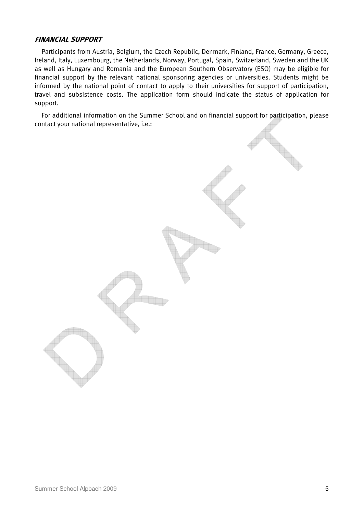### FINANCIAL SUPPORT

Participants from Austria, Belgium, the Czech Republic, Denmark, Finland, France, Germany, Greece, Ireland, Italy, Luxembourg, the Netherlands, Norway, Portugal, Spain, Switzerland, Sweden and the UK as well as Hungary and Romania and the European Southern Observatory (ESO) may be eligible for financial support by the relevant national sponsoring agencies or universities. Students might be informed by the national point of contact to apply to their universities for support of participation, travel and subsistence costs. The application form should indicate the status of application for support.

For additional information on the Summer School and on financial support for participation, please contact your national representative, i.e.: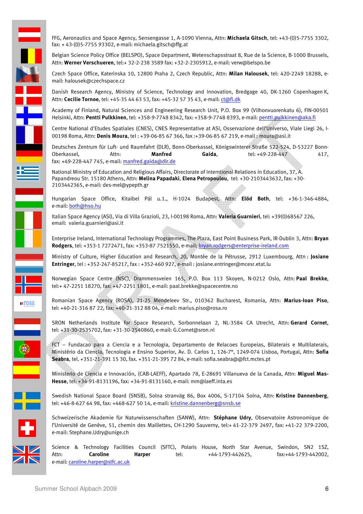FFG, Aeronautics and Space Agency, Sensengasse 1, A-1090 Vienna, Attn: Michaela Gitsch, tel: +43-(0)5-7755 3302, fax: + 43-(0)5-7755 93302, e-mail: michaela.gitsch@ffg.at

Belgian Science Policy Office (BELSPO), Space Department, Wetenschapsstraat 8, Rue de la Science, B-1000 Brussels, Attn: Werner Verschueren, tel:+ 32-2-238 3589 fax: +32-2-2305912, e-mail: verw@belspo.be

Czech Space Office, Katerinska 10, 12800 Praha 2, Czech Republic, Attn: Milan Halousek, tel: 420-2249 18288, email: halousek@czechspace.cz

Danish Research Agency, Ministry of Science, Technology and Innovation, Bredgage 40, DK-1260 Copenhagen K, Attn: Cecilie Tornoe, tel: +45-35 44 63 53, fax: +45-32 57 35 43, e-mail: ct@fi.dk

Academy of Finland, Natural Sciences and Engineering Research Unit, P.O. Box 99 (Vilhonvuorenkatu 6), FIN-00501 Helsinki, Attn: Pentti Pulkkinen, tel: +358-9-7748 8342, fax: +358-9-7748 8393, e-mail: pentti.pulkkinen@aka.fi

Centre National d'Etudes Spatiales (CNES), CNES Representative at ASI, Osservazione dell'Universo, Viale Liegi 26, I-00198 Roma, Attn: Denis Moura, tel : +39-06-85 67 366, fax :+39-06-85 67 219, e-mail : moura@asi.it

Deutsches Zentrum für Luft- und Raumfahrt (DLR), Bonn-Oberkassel, Königswinterer Straße 522-524, D-53227 Bonn-Oberkassel, Attn: Manfred Gaida, tel: +49-228-447 417, fax: +49-228-447 745, e-mail: manfred.gaida@dlr.de

National Ministry of Education and Religious Affairs, Directorate of Interntional Relations in Education, 37, A. Papandreou Str. 15180 Athens, Attn: Melina Papadaki, Elena Petropoulou, tel: +30-2103443632, fax: +30-2103442365, e-mail: des-mel@ypepth.gr

Hungarian Space Office, Kitaibel Pál u.1., H-1024 Budapest, Attn: Elöd Both, tel: +36-1-346-4884, e-mail: both@hso.hu

Italian Space Agency (ASI), Via di Villa Grazioli, 23, I-00198 Roma, Attn: Valeria Guarnieri, tel: +39(0)68567 226, email: valeria.guarnieri@asi.it

Enterprise Ireland, International Technology Programmes, The Plaza, East Point Business Park, IR-Dublin 3, Attn: Bryan Rodgers, tel: +353-1 7272471, fax: +353-87 7521550, e-mail: bryan.rodgers@enterprise-ireland.com

Ministry of Culture, Higher Education and Research, 20, Montée de la Pétrusse, 2912 Luxembourg, Attn : Josiane Entringer, tel : +352-247-85217, fax : +352-460 927, e-mail : josiane.entringer@mcesr.etat.lu

Norwegian Space Centre (NSC), Drammensveien 165, P.O. Box 113 Skoyen, N-0212 Oslo, Attn: Paal Brekke, tel:+ 47-2251 18270, fax: +47-2251 1801, e-mail: paal.brekke@spacecentre.no

Romanian Space Agency (ROSA), 21-25 Mendeleev Str., 010362 Bucharest, Romania, Attn: Marius-Ioan Piso, tel: +40-21-316 87 22, fax: +40-21-312 88 04, e-mail: marius.piso@rosa.ro

SRON Netherlands Institute for Space Research, Sorbonnelaan 2, NL-3584 CA Utrecht, Attn: Gerard Cornet, tel: +31-30-2535702, fax: +31-30-2540860, e-mail: G.Cornet@sron.nl

FCT – Fundacao para a Ciencia e a Tecnologia, Departamento de Relacoes Europeias, Bilaterais e Multilaterais, Ministério da Ciencia, Tecnologia e Ensino Superior, Av. D. Carlos 1, 126-7°, 1249-074 Lisboa, Portugal, Attn: Sofia Seabra, tel. +351-21-391 15 30, fax. +351-21-395 72 84, e-mail: sofia.seabra@@fct.mctes.pt

Ministerio de Ciencia e Innovación, (CAB-LAEFF), Apartado 78, E-28691 Villanueva de la Canada, Attn: Miguel Mas-Hesse, tel: +34-91-8131196, fax: +34-91-8131160, e-mail: mm@laeff.inta.es

Swedish National Space Board (SNSB), Solna stranväg 86, Box 4006, S-17104 Solna, Attn: Kristine Dannenberg, tel: +46-8-627 64 98, fax: +468-627 50 14, e-mail: kristine.dannenberg@snsb.se

Schweizerische Akademie für Naturwissenschaften (SANW), Attn: Stéphane Udry, Observatoire Astronomique de l'Université de Genève, 51, chemin des Maillettes, CH-1290 Sauverny, tel:+ 41-22-379 2497, fax: +41-22 379-2200, e-mail: Stephane.Udry@unige.ch

Science & Technology Facilities Council (SFTC), Polaris House, North Star Avenue, Swindon, SN2 1SZ, Attn: **Caroline Harper** tel: +44-1793-442625, fax:+44-1793-442002, e-mail: caroline.harper@stfc.ac.uk

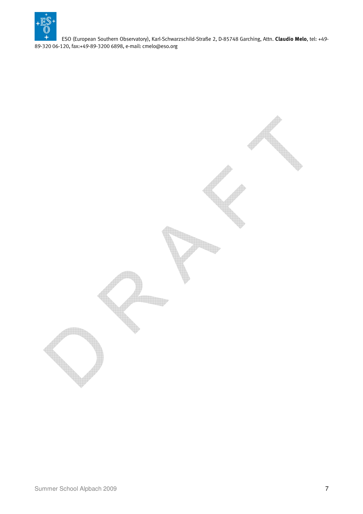

ESO (European Southern Observatory), Karl-Schwarzschild-Straße 2, D-85748 Garching, Attn. Claudio Melo, tel: +49- 89-320 06-120, fax:+49-89-3200 6898, e-mail: cmelo@eso.org